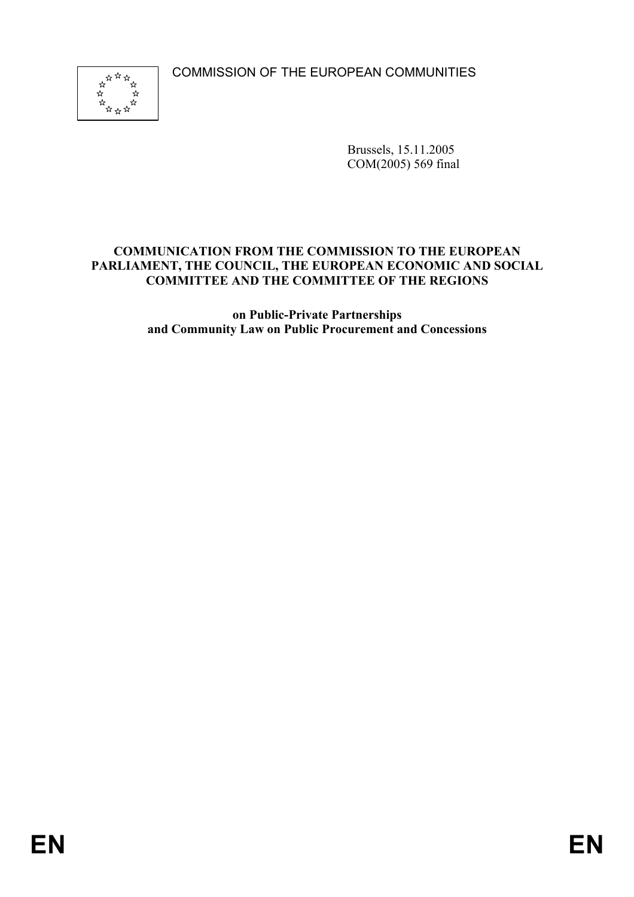COMMISSION OF THE EUROPEAN COMMUNITIES



Brussels, 15.11.2005 COM(2005) 569 final

# **COMMUNICATION FROM THE COMMISSION TO THE EUROPEAN PARLIAMENT, THE COUNCIL, THE EUROPEAN ECONOMIC AND SOCIAL COMMITTEE AND THE COMMITTEE OF THE REGIONS**

**on Public-Private Partnerships and Community Law on Public Procurement and Concessions**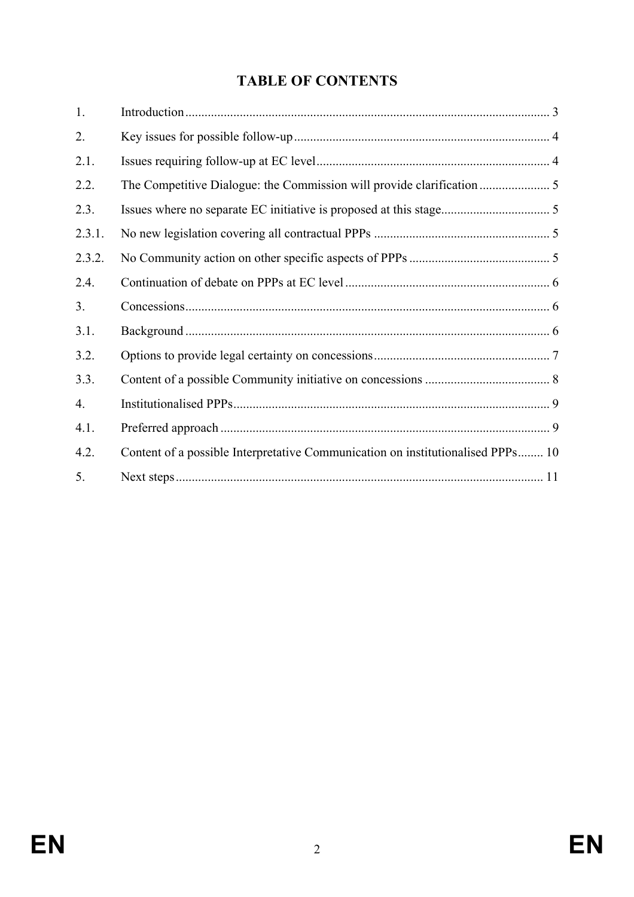# **TABLE OF CONTENTS**

| 1.               |                                                                                 |  |
|------------------|---------------------------------------------------------------------------------|--|
| 2.               |                                                                                 |  |
| 2.1.             |                                                                                 |  |
| 2.2.             |                                                                                 |  |
| 2.3.             |                                                                                 |  |
| 2.3.1.           |                                                                                 |  |
| 2.3.2.           |                                                                                 |  |
| 2.4.             |                                                                                 |  |
| 3.               |                                                                                 |  |
| 3.1.             |                                                                                 |  |
| 3.2.             |                                                                                 |  |
| 3.3.             |                                                                                 |  |
| $\overline{4}$ . |                                                                                 |  |
| 4.1.             |                                                                                 |  |
| 4.2.             | Content of a possible Interpretative Communication on institutionalised PPPs 10 |  |
| 5.               |                                                                                 |  |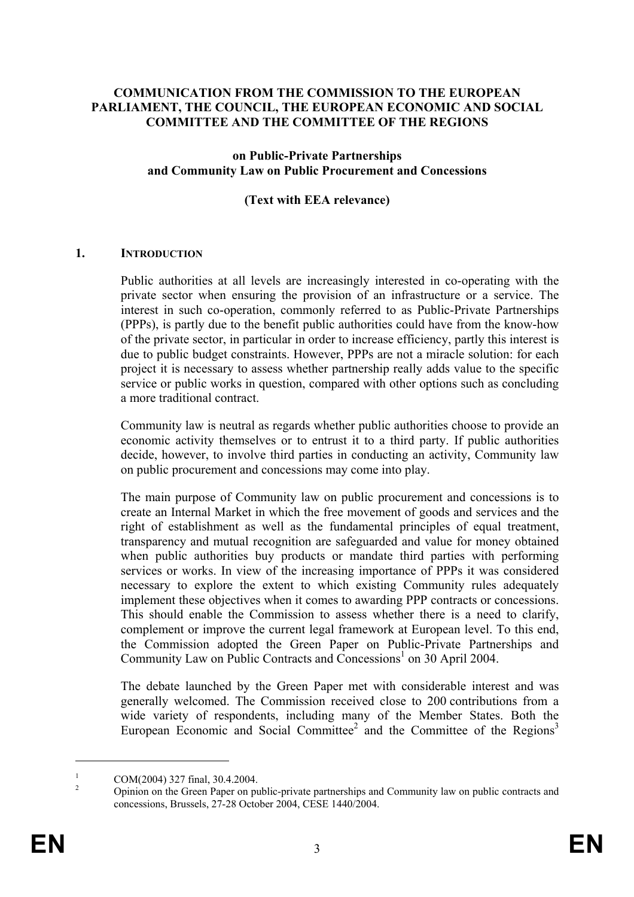## **COMMUNICATION FROM THE COMMISSION TO THE EUROPEAN PARLIAMENT, THE COUNCIL, THE EUROPEAN ECONOMIC AND SOCIAL COMMITTEE AND THE COMMITTEE OF THE REGIONS**

#### **on Public-Private Partnerships and Community Law on Public Procurement and Concessions**

#### **(Text with EEA relevance)**

#### **1. INTRODUCTION**

Public authorities at all levels are increasingly interested in co-operating with the private sector when ensuring the provision of an infrastructure or a service. The interest in such co-operation, commonly referred to as Public-Private Partnerships (PPPs), is partly due to the benefit public authorities could have from the know-how of the private sector, in particular in order to increase efficiency, partly this interest is due to public budget constraints. However, PPPs are not a miracle solution: for each project it is necessary to assess whether partnership really adds value to the specific service or public works in question, compared with other options such as concluding a more traditional contract.

Community law is neutral as regards whether public authorities choose to provide an economic activity themselves or to entrust it to a third party. If public authorities decide, however, to involve third parties in conducting an activity, Community law on public procurement and concessions may come into play.

The main purpose of Community law on public procurement and concessions is to create an Internal Market in which the free movement of goods and services and the right of establishment as well as the fundamental principles of equal treatment, transparency and mutual recognition are safeguarded and value for money obtained when public authorities buy products or mandate third parties with performing services or works. In view of the increasing importance of PPPs it was considered necessary to explore the extent to which existing Community rules adequately implement these objectives when it comes to awarding PPP contracts or concessions. This should enable the Commission to assess whether there is a need to clarify, complement or improve the current legal framework at European level. To this end, the Commission adopted the Green Paper on Public-Private Partnerships and Community Law on Public Contracts and Concessions<sup>1</sup> on 30 April 2004.

The debate launched by the Green Paper met with considerable interest and was generally welcomed. The Commission received close to 200 contributions from a wide variety of respondents, including many of the Member States. Both the European Economic and Social Committee<sup>2</sup> and the Committee of the Regions<sup>3</sup>

<u>.</u>

<sup>1</sup> COM(2004) 327 final, 30.4.2004.

<sup>2</sup> Opinion on the Green Paper on public-private partnerships and Community law on public contracts and concessions, Brussels, 27-28 October 2004, CESE 1440/2004.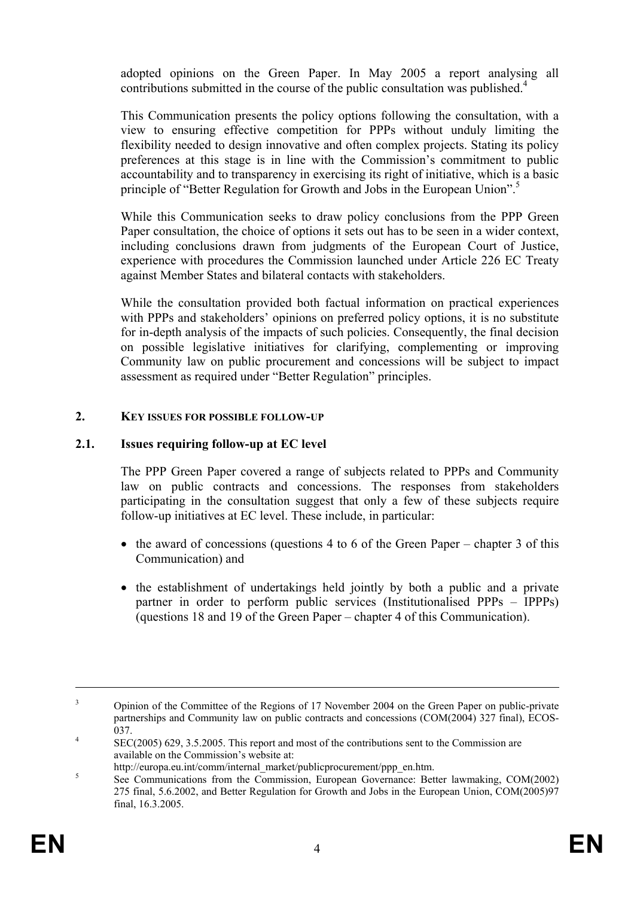adopted opinions on the Green Paper. In May 2005 a report analysing all contributions submitted in the course of the public consultation was published.<sup>4</sup>

This Communication presents the policy options following the consultation, with a view to ensuring effective competition for PPPs without unduly limiting the flexibility needed to design innovative and often complex projects. Stating its policy preferences at this stage is in line with the Commission's commitment to public accountability and to transparency in exercising its right of initiative, which is a basic principle of "Better Regulation for Growth and Jobs in the European Union".<sup>5</sup>

While this Communication seeks to draw policy conclusions from the PPP Green Paper consultation, the choice of options it sets out has to be seen in a wider context, including conclusions drawn from judgments of the European Court of Justice, experience with procedures the Commission launched under Article 226 EC Treaty against Member States and bilateral contacts with stakeholders.

While the consultation provided both factual information on practical experiences with PPPs and stakeholders' opinions on preferred policy options, it is no substitute for in-depth analysis of the impacts of such policies. Consequently, the final decision on possible legislative initiatives for clarifying, complementing or improving Community law on public procurement and concessions will be subject to impact assessment as required under "Better Regulation" principles.

# **2. KEY ISSUES FOR POSSIBLE FOLLOW-UP**

# **2.1. Issues requiring follow-up at EC level**

The PPP Green Paper covered a range of subjects related to PPPs and Community law on public contracts and concessions. The responses from stakeholders participating in the consultation suggest that only a few of these subjects require follow-up initiatives at EC level. These include, in particular:

- the award of concessions (questions 4 to 6 of the Green Paper chapter 3 of this Communication) and
- the establishment of undertakings held jointly by both a public and a private partner in order to perform public services (Institutionalised PPPs – IPPPs) (questions 18 and 19 of the Green Paper – chapter 4 of this Communication).

<u>.</u>

<sup>3</sup> Opinion of the Committee of the Regions of 17 November 2004 on the Green Paper on public-private partnerships and Community law on public contracts and concessions (COM(2004) 327 final), ECOS- $\frac{037}{14}$ 

SEC(2005) 629, 3.5.2005. This report and most of the contributions sent to the Commission are available on the Commission's website at:

http://europa.eu.int/comm/internal\_market/publicprocurement/ppp\_en.htm.<br>5

See Communications from the Commission, European Governance: Better lawmaking, COM(2002) 275 final, 5.6.2002, and Better Regulation for Growth and Jobs in the European Union, COM(2005)97 final, 16.3.2005.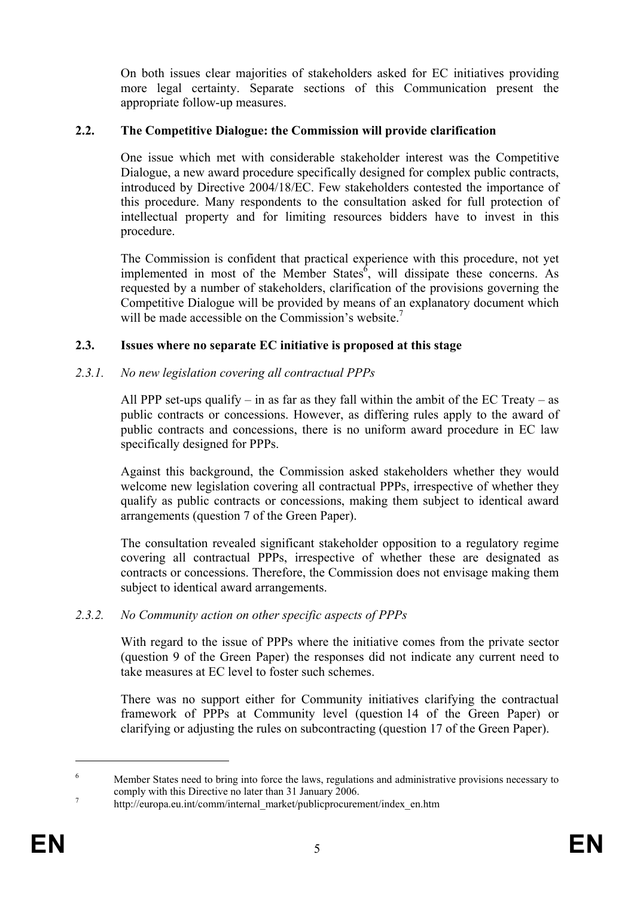On both issues clear majorities of stakeholders asked for EC initiatives providing more legal certainty. Separate sections of this Communication present the appropriate follow-up measures.

# **2.2. The Competitive Dialogue: the Commission will provide clarification**

One issue which met with considerable stakeholder interest was the Competitive Dialogue, a new award procedure specifically designed for complex public contracts, introduced by Directive 2004/18/EC. Few stakeholders contested the importance of this procedure. Many respondents to the consultation asked for full protection of intellectual property and for limiting resources bidders have to invest in this procedure.

The Commission is confident that practical experience with this procedure, not yet implemented in most of the Member States $\vec{6}$ , will dissipate these concerns. As requested by a number of stakeholders, clarification of the provisions governing the Competitive Dialogue will be provided by means of an explanatory document which will be made accessible on the Commission's website.<sup>7</sup>

# **2.3. Issues where no separate EC initiative is proposed at this stage**

# *2.3.1. No new legislation covering all contractual PPPs*

All PPP set-ups qualify – in as far as they fall within the ambit of the EC Treaty – as public contracts or concessions. However, as differing rules apply to the award of public contracts and concessions, there is no uniform award procedure in EC law specifically designed for PPPs.

Against this background, the Commission asked stakeholders whether they would welcome new legislation covering all contractual PPPs, irrespective of whether they qualify as public contracts or concessions, making them subject to identical award arrangements (question 7 of the Green Paper).

The consultation revealed significant stakeholder opposition to a regulatory regime covering all contractual PPPs, irrespective of whether these are designated as contracts or concessions. Therefore, the Commission does not envisage making them subject to identical award arrangements.

#### *2.3.2. No Community action on other specific aspects of PPPs*

With regard to the issue of PPPs where the initiative comes from the private sector (question 9 of the Green Paper) the responses did not indicate any current need to take measures at EC level to foster such schemes.

There was no support either for Community initiatives clarifying the contractual framework of PPPs at Community level (question 14 of the Green Paper) or clarifying or adjusting the rules on subcontracting (question 17 of the Green Paper).

<u>.</u>

<sup>6</sup> Member States need to bring into force the laws, regulations and administrative provisions necessary to comply with this Directive no later than 31 January 2006.

http://europa.eu.int/comm/internal\_market/publicprocurement/index\_en.htm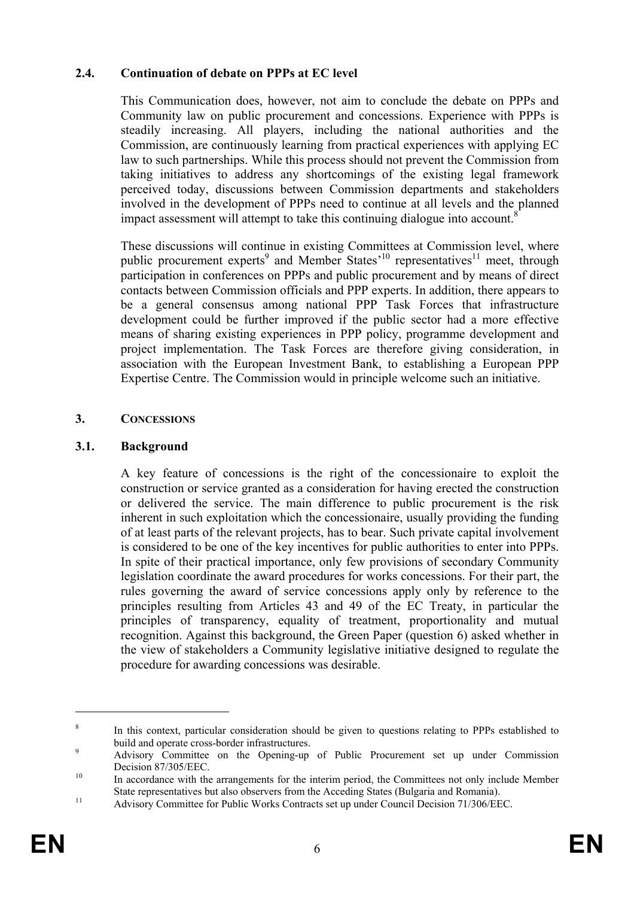# **2.4. Continuation of debate on PPPs at EC level**

This Communication does, however, not aim to conclude the debate on PPPs and Community law on public procurement and concessions. Experience with PPPs is steadily increasing. All players, including the national authorities and the Commission, are continuously learning from practical experiences with applying EC law to such partnerships. While this process should not prevent the Commission from taking initiatives to address any shortcomings of the existing legal framework perceived today, discussions between Commission departments and stakeholders involved in the development of PPPs need to continue at all levels and the planned impact assessment will attempt to take this continuing dialogue into account.<sup>8</sup>

These discussions will continue in existing Committees at Commission level, where public procurement experts<sup>9</sup> and Member States<sup>10</sup> representatives<sup>11</sup> meet, through participation in conferences on PPPs and public procurement and by means of direct contacts between Commission officials and PPP experts. In addition, there appears to be a general consensus among national PPP Task Forces that infrastructure development could be further improved if the public sector had a more effective means of sharing existing experiences in PPP policy, programme development and project implementation. The Task Forces are therefore giving consideration, in association with the European Investment Bank, to establishing a European PPP Expertise Centre. The Commission would in principle welcome such an initiative.

# **3. CONCESSIONS**

# **3.1. Background**

A key feature of concessions is the right of the concessionaire to exploit the construction or service granted as a consideration for having erected the construction or delivered the service. The main difference to public procurement is the risk inherent in such exploitation which the concessionaire, usually providing the funding of at least parts of the relevant projects, has to bear. Such private capital involvement is considered to be one of the key incentives for public authorities to enter into PPPs. In spite of their practical importance, only few provisions of secondary Community legislation coordinate the award procedures for works concessions. For their part, the rules governing the award of service concessions apply only by reference to the principles resulting from Articles 43 and 49 of the EC Treaty, in particular the principles of transparency, equality of treatment, proportionality and mutual recognition. Against this background, the Green Paper (question 6) asked whether in the view of stakeholders a Community legislative initiative designed to regulate the procedure for awarding concessions was desirable.

<sup>8</sup> In this context, particular consideration should be given to questions relating to PPPs established to build and operate cross-border infrastructures.

Advisory Committee on the Opening-up of Public Procurement set up under Commission Decision 87/305/EEC.<br>In accordance with the arrangements for the interim period, the Committees not only include Member

State representatives but also observers from the Acceding States (Bulgaria and Romania).<br>
11 Advisory Committee for Public Works Contracts set up under Council Decision 71/306/EEC.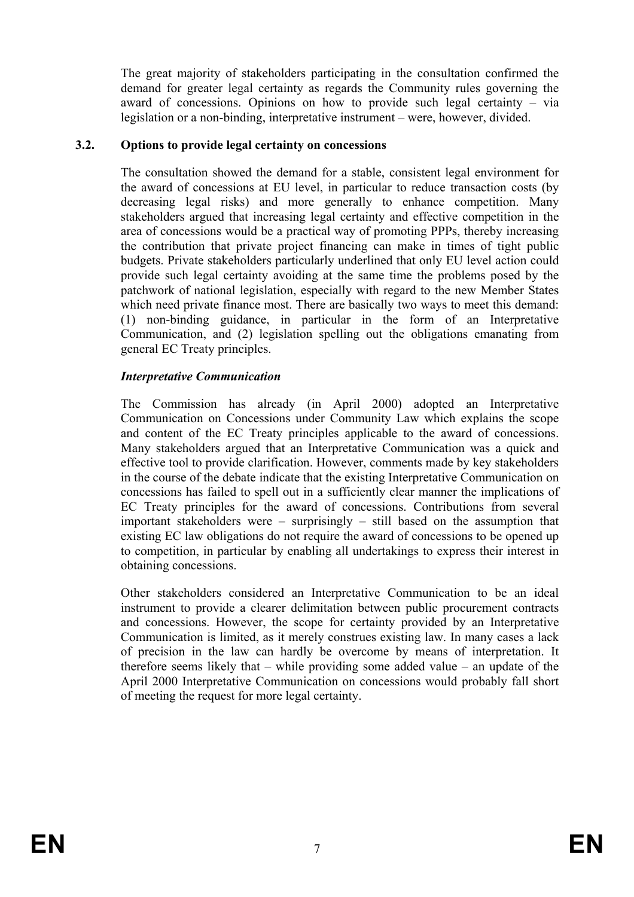The great majority of stakeholders participating in the consultation confirmed the demand for greater legal certainty as regards the Community rules governing the award of concessions. Opinions on how to provide such legal certainty – via legislation or a non-binding, interpretative instrument – were, however, divided.

# **3.2. Options to provide legal certainty on concessions**

The consultation showed the demand for a stable, consistent legal environment for the award of concessions at EU level, in particular to reduce transaction costs (by decreasing legal risks) and more generally to enhance competition. Many stakeholders argued that increasing legal certainty and effective competition in the area of concessions would be a practical way of promoting PPPs, thereby increasing the contribution that private project financing can make in times of tight public budgets. Private stakeholders particularly underlined that only EU level action could provide such legal certainty avoiding at the same time the problems posed by the patchwork of national legislation, especially with regard to the new Member States which need private finance most. There are basically two ways to meet this demand: (1) non-binding guidance, in particular in the form of an Interpretative Communication, and (2) legislation spelling out the obligations emanating from general EC Treaty principles.

# *Interpretative Communication*

The Commission has already (in April 2000) adopted an Interpretative Communication on Concessions under Community Law which explains the scope and content of the EC Treaty principles applicable to the award of concessions. Many stakeholders argued that an Interpretative Communication was a quick and effective tool to provide clarification. However, comments made by key stakeholders in the course of the debate indicate that the existing Interpretative Communication on concessions has failed to spell out in a sufficiently clear manner the implications of EC Treaty principles for the award of concessions. Contributions from several important stakeholders were – surprisingly – still based on the assumption that existing EC law obligations do not require the award of concessions to be opened up to competition, in particular by enabling all undertakings to express their interest in obtaining concessions.

Other stakeholders considered an Interpretative Communication to be an ideal instrument to provide a clearer delimitation between public procurement contracts and concessions. However, the scope for certainty provided by an Interpretative Communication is limited, as it merely construes existing law. In many cases a lack of precision in the law can hardly be overcome by means of interpretation. It therefore seems likely that – while providing some added value – an update of the April 2000 Interpretative Communication on concessions would probably fall short of meeting the request for more legal certainty.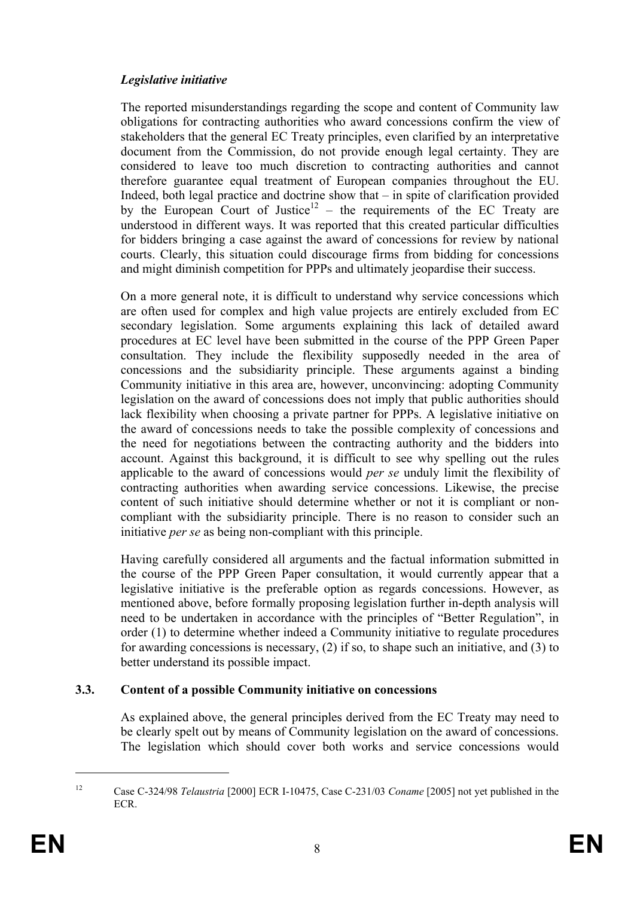# *Legislative initiative*

The reported misunderstandings regarding the scope and content of Community law obligations for contracting authorities who award concessions confirm the view of stakeholders that the general EC Treaty principles, even clarified by an interpretative document from the Commission, do not provide enough legal certainty. They are considered to leave too much discretion to contracting authorities and cannot therefore guarantee equal treatment of European companies throughout the EU. Indeed, both legal practice and doctrine show that – in spite of clarification provided by the European Court of Justice<sup>12</sup> – the requirements of the EC Treaty are understood in different ways. It was reported that this created particular difficulties for bidders bringing a case against the award of concessions for review by national courts. Clearly, this situation could discourage firms from bidding for concessions and might diminish competition for PPPs and ultimately jeopardise their success.

On a more general note, it is difficult to understand why service concessions which are often used for complex and high value projects are entirely excluded from EC secondary legislation. Some arguments explaining this lack of detailed award procedures at EC level have been submitted in the course of the PPP Green Paper consultation. They include the flexibility supposedly needed in the area of concessions and the subsidiarity principle. These arguments against a binding Community initiative in this area are, however, unconvincing: adopting Community legislation on the award of concessions does not imply that public authorities should lack flexibility when choosing a private partner for PPPs. A legislative initiative on the award of concessions needs to take the possible complexity of concessions and the need for negotiations between the contracting authority and the bidders into account. Against this background, it is difficult to see why spelling out the rules applicable to the award of concessions would *per se* unduly limit the flexibility of contracting authorities when awarding service concessions. Likewise, the precise content of such initiative should determine whether or not it is compliant or noncompliant with the subsidiarity principle. There is no reason to consider such an initiative *per se* as being non-compliant with this principle.

Having carefully considered all arguments and the factual information submitted in the course of the PPP Green Paper consultation, it would currently appear that a legislative initiative is the preferable option as regards concessions. However, as mentioned above, before formally proposing legislation further in-depth analysis will need to be undertaken in accordance with the principles of "Better Regulation", in order (1) to determine whether indeed a Community initiative to regulate procedures for awarding concessions is necessary, (2) if so, to shape such an initiative, and (3) to better understand its possible impact.

# **3.3. Content of a possible Community initiative on concessions**

As explained above, the general principles derived from the EC Treaty may need to be clearly spelt out by means of Community legislation on the award of concessions. The legislation which should cover both works and service concessions would

<sup>12</sup> Case C-324/98 *Telaustria* [2000] ECR I-10475, Case C-231/03 *Coname* [2005] not yet published in the ECR.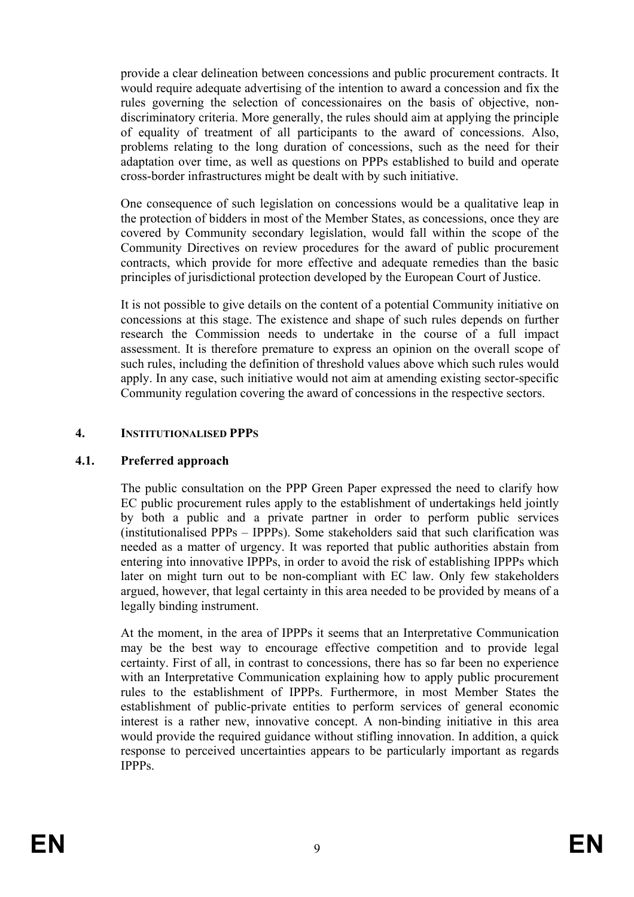provide a clear delineation between concessions and public procurement contracts. It would require adequate advertising of the intention to award a concession and fix the rules governing the selection of concessionaires on the basis of objective, nondiscriminatory criteria. More generally, the rules should aim at applying the principle of equality of treatment of all participants to the award of concessions. Also, problems relating to the long duration of concessions, such as the need for their adaptation over time, as well as questions on PPPs established to build and operate cross-border infrastructures might be dealt with by such initiative.

One consequence of such legislation on concessions would be a qualitative leap in the protection of bidders in most of the Member States, as concessions, once they are covered by Community secondary legislation, would fall within the scope of the Community Directives on review procedures for the award of public procurement contracts, which provide for more effective and adequate remedies than the basic principles of jurisdictional protection developed by the European Court of Justice.

It is not possible to give details on the content of a potential Community initiative on concessions at this stage. The existence and shape of such rules depends on further research the Commission needs to undertake in the course of a full impact assessment. It is therefore premature to express an opinion on the overall scope of such rules, including the definition of threshold values above which such rules would apply. In any case, such initiative would not aim at amending existing sector-specific Community regulation covering the award of concessions in the respective sectors.

# **4. INSTITUTIONALISED PPPS**

# **4.1. Preferred approach**

The public consultation on the PPP Green Paper expressed the need to clarify how EC public procurement rules apply to the establishment of undertakings held jointly by both a public and a private partner in order to perform public services (institutionalised PPPs – IPPPs). Some stakeholders said that such clarification was needed as a matter of urgency. It was reported that public authorities abstain from entering into innovative IPPPs, in order to avoid the risk of establishing IPPPs which later on might turn out to be non-compliant with EC law. Only few stakeholders argued, however, that legal certainty in this area needed to be provided by means of a legally binding instrument.

At the moment, in the area of IPPPs it seems that an Interpretative Communication may be the best way to encourage effective competition and to provide legal certainty. First of all, in contrast to concessions, there has so far been no experience with an Interpretative Communication explaining how to apply public procurement rules to the establishment of IPPPs. Furthermore, in most Member States the establishment of public-private entities to perform services of general economic interest is a rather new, innovative concept. A non-binding initiative in this area would provide the required guidance without stifling innovation. In addition, a quick response to perceived uncertainties appears to be particularly important as regards IPPPs.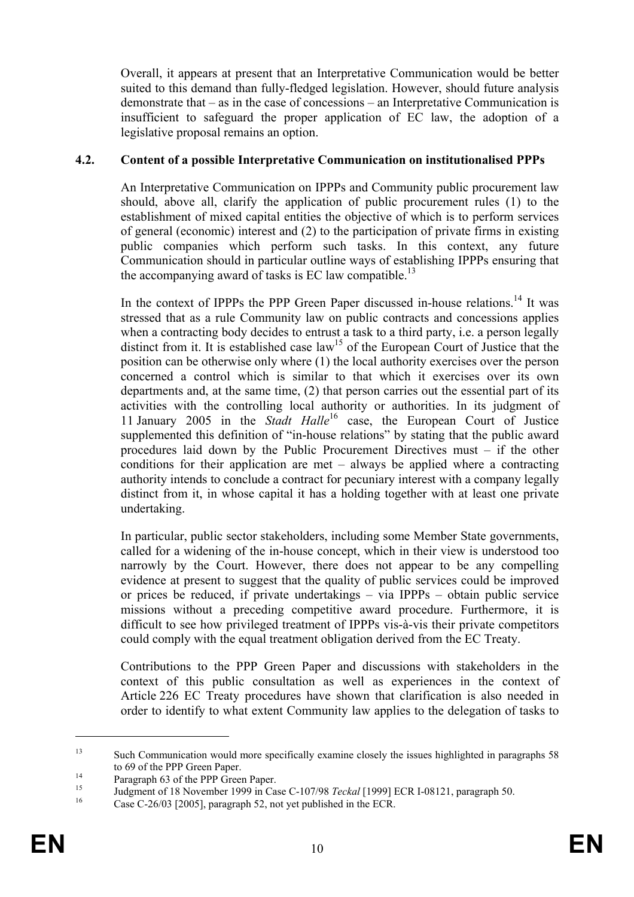Overall, it appears at present that an Interpretative Communication would be better suited to this demand than fully-fledged legislation. However, should future analysis demonstrate that – as in the case of concessions – an Interpretative Communication is insufficient to safeguard the proper application of EC law, the adoption of a legislative proposal remains an option.

# **4.2. Content of a possible Interpretative Communication on institutionalised PPPs**

An Interpretative Communication on IPPPs and Community public procurement law should, above all, clarify the application of public procurement rules (1) to the establishment of mixed capital entities the objective of which is to perform services of general (economic) interest and (2) to the participation of private firms in existing public companies which perform such tasks. In this context, any future Communication should in particular outline ways of establishing IPPPs ensuring that the accompanying award of tasks is EC law compatible.<sup>13</sup>

In the context of IPPPs the PPP Green Paper discussed in-house relations.<sup>14</sup> It was stressed that as a rule Community law on public contracts and concessions applies when a contracting body decides to entrust a task to a third party, i.e. a person legally distinct from it. It is established case law<sup>15</sup> of the European Court of Justice that the position can be otherwise only where (1) the local authority exercises over the person concerned a control which is similar to that which it exercises over its own departments and, at the same time, (2) that person carries out the essential part of its activities with the controlling local authority or authorities. In its judgment of 11 January 2005 in the *Stadt Halle*<sup>16</sup> case, the European Court of Justice supplemented this definition of "in-house relations" by stating that the public award procedures laid down by the Public Procurement Directives must – if the other conditions for their application are met – always be applied where a contracting authority intends to conclude a contract for pecuniary interest with a company legally distinct from it, in whose capital it has a holding together with at least one private undertaking.

In particular, public sector stakeholders, including some Member State governments, called for a widening of the in-house concept, which in their view is understood too narrowly by the Court. However, there does not appear to be any compelling evidence at present to suggest that the quality of public services could be improved or prices be reduced, if private undertakings – via IPPPs – obtain public service missions without a preceding competitive award procedure. Furthermore, it is difficult to see how privileged treatment of IPPPs vis-à-vis their private competitors could comply with the equal treatment obligation derived from the EC Treaty.

Contributions to the PPP Green Paper and discussions with stakeholders in the context of this public consultation as well as experiences in the context of Article 226 EC Treaty procedures have shown that clarification is also needed in order to identify to what extent Community law applies to the delegation of tasks to

<sup>&</sup>lt;sup>13</sup> Such Communication would more specifically examine closely the issues highlighted in paragraphs 58 to 69 of the PPP Green Paper.<br>Paragraph 63 of the PPP Green Paper.<br>15 Paragraph 63 Neverslav 1909 is Gr

<sup>&</sup>lt;sup>15</sup> Judgment of 18 November 1999 in Case C-107/98 *Teckal* [1999] ECR I-08121, paragraph 50.<br><sup>16</sup> Case C-26/03 [2005], paragraph 52, not yet published in the ECR.